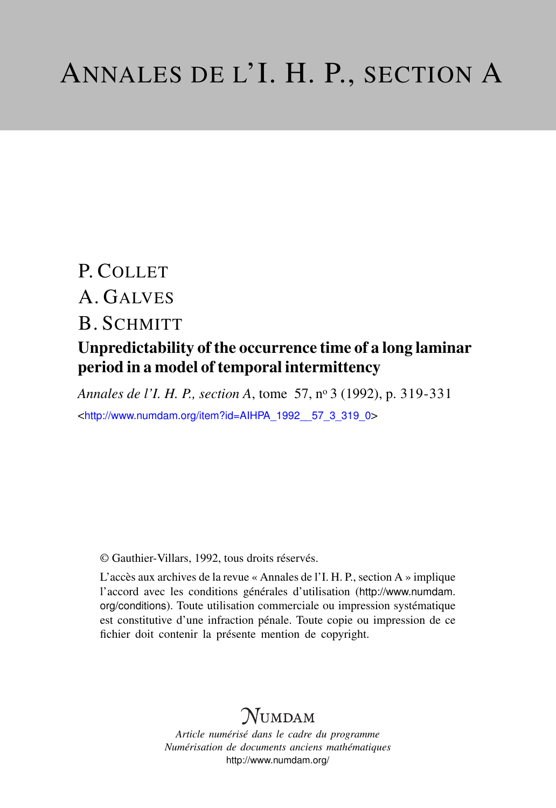# P. COLLET A. GALVES B. SCHMITT

### Unpredictability of the occurrence time of a long laminar period in a model of temporal intermittency

*Annales de l'I. H. P., section A*, tome 57, n<sup>o</sup> 3 (1992), p. 319-331 <[http://www.numdam.org/item?id=AIHPA\\_1992\\_\\_57\\_3\\_319\\_0](http://www.numdam.org/item?id=AIHPA_1992__57_3_319_0)>

© Gauthier-Villars, 1992, tous droits réservés.

L'accès aux archives de la revue « Annales de l'I. H. P., section A » implique l'accord avec les conditions générales d'utilisation ([http://www.numdam.](http://www.numdam.org/conditions) [org/conditions](http://www.numdam.org/conditions)). Toute utilisation commerciale ou impression systématique est constitutive d'une infraction pénale. Toute copie ou impression de ce fichier doit contenir la présente mention de copyright.

## $N$ UMDAM

*Article numérisé dans le cadre du programme Numérisation de documents anciens mathématiques* <http://www.numdam.org/>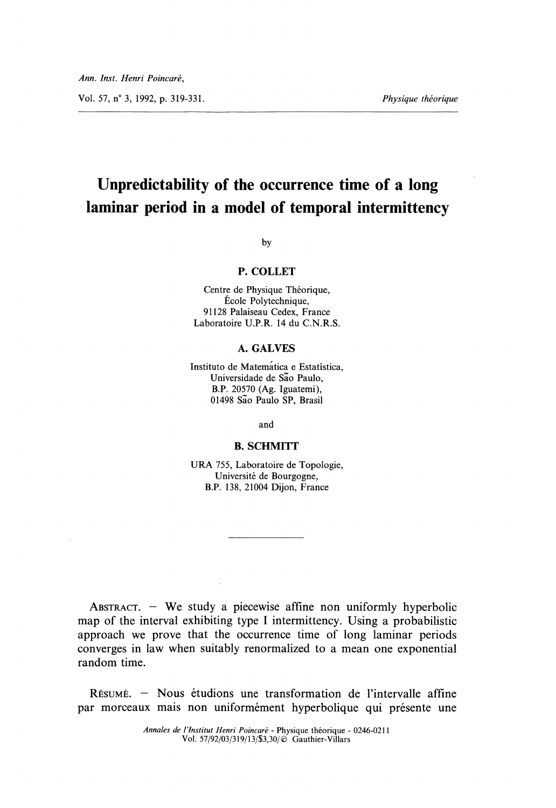Vol. 57, n° 3, 1992, p. 319-331.  $Physique théorique$ 

## Unpredictability of the occurrence time of a long laminar period in a model of temporal intermittency

by

#### P. COLLET

Centre de Physique Théorique, École Polytechnique, 91128 Palaiseau Cedex, France Laboratoire U.P.R. 14 du C.N.R.S.

#### A. GALVES

Instituto de Matematica e Estatistica, Universidade de São Paulo, B.P. 20570 (Ag. Iguatemi), 01498 Sao Paulo SP, Brasil

and

#### B. SCHMITT

URA 755, Laboratoire de Topologie, Universite de Bourgogne, B.P. 138, 21004 Dijon, France

ABSTRACT.  $-$  We study a piecewise affine non uniformly hyperbolic map of the interval exhibiting type I intermittency. Using a probabilistic approach we prove that the occurrence time of long laminar periods converges in law when suitably renormalized to a mean one exponential random time.

 $R$ *isumé.* – Nous étudions une transformation de l'intervalle affine par morceaux mais non uniformément hyperbolique qui présente une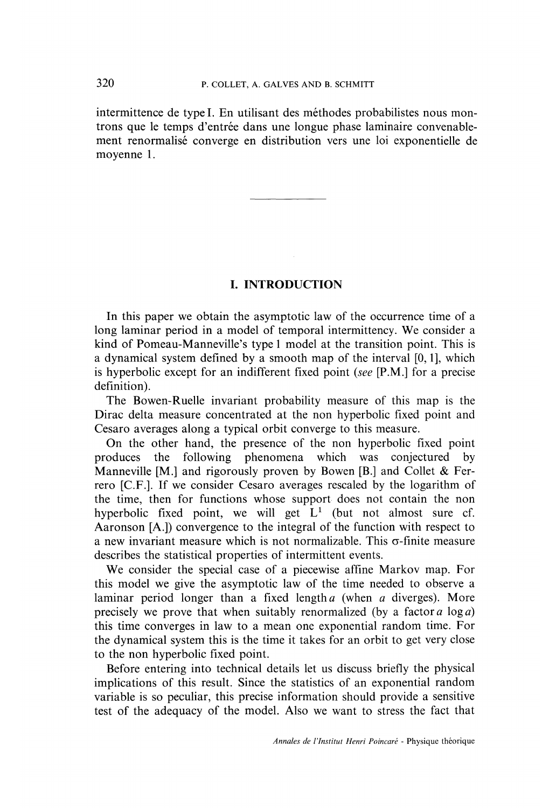intermittence de type I. En utilisant des méthodes probabilistes nous montrons que le temps d'entrée dans une longue phase laminaire convenablement renormalisé converge en distribution vers une loi exponentielle de moyenne 1.

#### I. INTRODUCTION

In this paper we obtain the asymptotic law of the occurrence time of a long laminar period in a model of temporal intermittency. We consider a kind of Pomeau-Manneville's type 1 model at the transition point. This is a dynamical system defined by a smooth map of the interval  $[0, 1]$ , which is hyperbolic except for an indifferent fixed point (see [P.M.] for a precise definition).

The Bowen-Ruelle invariant probability measure of this map is the Dirac delta measure concentrated at the non hyperbolic fixed point and Cesaro averages along a typical orbit converge to this measure.

On the other hand, the presence of the non hyperbolic fixed point produces the following phenomena which was conjectured by phenomena which was conjectured Manneville [M.] and rigorously proven by Bowen [B.] and Collet & Ferrero [C.F.]. If we consider Cesaro averages rescaled by the logarithm of the time, then for functions whose support does not contain the non hyperbolic fixed point, we will get  $L^1$  (but not almost sure cf. Aaronson [A.]) convergence to the integral of the function with respect to a new invariant measure which is not normalizable. This  $\sigma$ -finite measure describes the statistical properties of intermittent events.

We consider the special case of a piecewise affine Markov map. For this model we give the asymptotic law of the time needed to observe a laminar period longer than a fixed length  $a$  (when  $a$  diverges). More precisely we prove that when suitably renormalized (by a factor  $a \log a$ ) this time converges in law to a mean one exponential random time. For the dynamical system this is the time it takes for an orbit to get very close to the non hyperbolic fixed point.

Before entering into technical details let us discuss briefly the physical implications of this result. Since the statistics of an exponential random variable is so peculiar, this precise information should provide a sensitive test of the adequacy of the model. Also we want to stress the fact that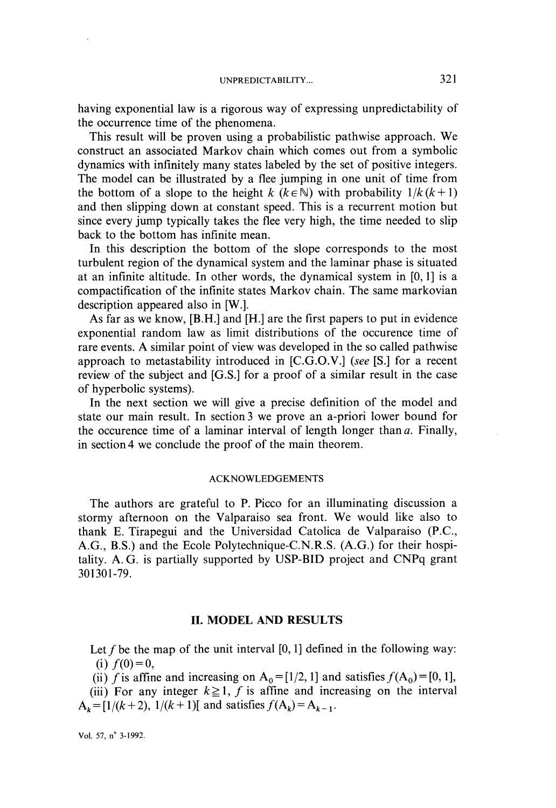having exponential law is a rigorous way of expressing unpredictability of the occurrence time of the phenomena.

This result will be proven using a probabilistic pathwise approach. We construct an associated Markov chain which comes out from a symbolic dynamics with infinitely many states labeled by the set of positive integers. The model can be illustrated by a flee jumping in one unit of time from the bottom of a slope to the height k ( $k \in \mathbb{N}$ ) with probability  $1 / k (k + 1)$ and then slipping down at constant speed. This is a recurrent motion but since every jump typically takes the flee very high, the time needed to slip back to the bottom has infinite mean.

In this description the bottom of the slope corresponds to the most turbulent region of the dynamical system and the laminar phase is situated at an infinite altitude. In other words, the dynamical system in [0,1] is a compactification of the infinite states Markov chain. The same markovian description appeared also in [W.].

As far as we know, [B.H.] and [H.] are the first papers to put in evidence exponential random law as limit distributions of the occurence time of rare events. A similar point of view was developed in the so called pathwise approach to metastability introduced in [C.G.O.V.] (see [S.] for a recent review of the subject and [G.S.] for a proof of a similar result in the case of hyperbolic systems).

In the next section we will give a precise definition of the model and state our main result. In section 3 we prove an a-priori lower bound for the occurence time of a laminar interval of length longer than  $a$ . Finally, in section 4 we conclude the proof of the main theorem.

#### ACKNOWLEDGEMENTS

The authors are grateful to P. Picco for an illuminating discussion a stormy afternoon on the Valparaiso sea front. We would like also to thank E. Tirapegui and the Universidad Catolica de Valparaiso (P.C., A.G., B.S.) and the Ecole Polytechnique-C.N.R.S. (A.G.) for their hospitality. A. G. is partially supported by USP-BID project and CNPq grant 301301-79.

#### II. MODEL AND RESULTS

Let f be the map of the unit interval  $[0,1]$  defined in the following way: (i)  $f(0) = 0$ ,

(ii) f is affine and increasing on  $A_0 = [1/2, 1]$  and satisfies  $f(A_0) = [0, 1]$ ,

(iii) For any integer  $k \ge 1$ , f is affine and increasing on the interval  $A_k = [1/(k+2), 1/(k+1)]$  and satisfies  $f(A_k) = A_{k-1}$ .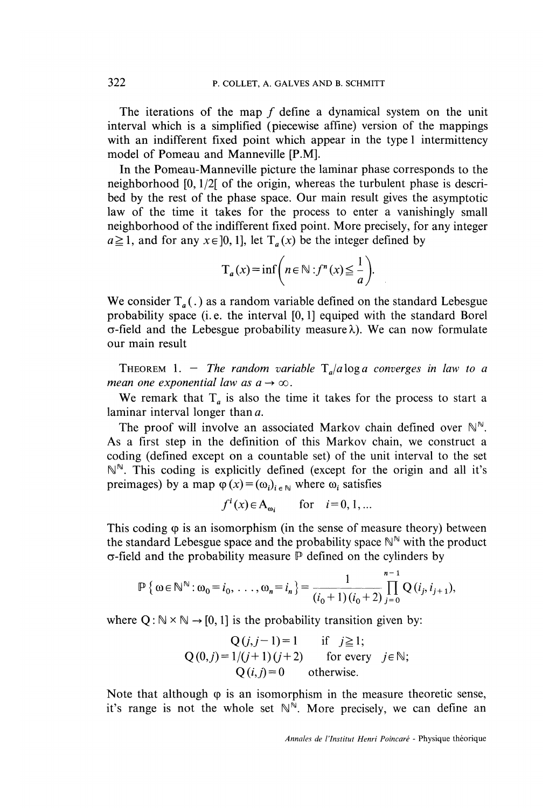The iterations of the map f define a dynamical system on the unit interval which is a simplified (piecewise affine) version of the mappings with an indifferent fixed point which appear in the type I intermittency model of Pomeau and Manneville [P.M].

In the Pomeau-Manneville picture the laminar phase corresponds to the neighborhood [0,1/2[ of the origin, whereas the turbulent phase is described by the rest of the phase space. Our main result gives the asymptotic law of the time it takes for the process to enter a vanishingly small neighborhood of the indifferent fixed point. More precisely, for any integer  $a \ge 1$ , and for any  $x \in [0, 1]$ , let  $T_a(x)$  be the integer defined by

$$
T_a(x) = \inf \left( n \in \mathbb{N} : f^n(x) \leq \frac{1}{a} \right).
$$

We consider  $T_a(.)$  as a random variable defined on the standard Lebesgue probability space (i. e. the interval [0,1] equiped with the standard Borel  $\sigma$ -field and the Lebesgue probability measure  $\lambda$ ). We can now formulate our main result

THEOREM 1. - The random variable  $T_a/a \log a$  converges in law to a mean one exponential law as  $a \rightarrow \infty$ .

We remark that  $T_a$  is also the time it takes for the process to start a laminar interval longer than a.

The proof will involve an associated Markov chain defined over  $\mathbb{N}^{\mathbb{N}}$ . As a first step in the definition of this Markov chain, we construct a coding (defined except on a countable set) of the unit interval to the set  $\mathbb{N}^{\mathbb{N}}$ . This coding is explicitly defined (except for the origin and all it's preimages) by a map  $\varphi(x) = (\omega_i)_{i \in \mathbb{N}}$  where  $\omega_i$  satisfies

$$
f^{i}(x) \in A_{\omega_{i}}
$$
 for  $i=0,1,...$ 

This coding  $\varphi$  is an isomorphism (in the sense of measure theory) between the standard Lebesgue space and the probability space  $\mathbb{N}^{\mathbb{N}}$  with the product  $\sigma$ -field and the probability measure  $\mathbb P$  defined on the cylinders by

$$
\mathbb{P}\left\{\omega \in \mathbb{N}^{\mathbb{N}} : \omega_0 = i_0, \ldots, \omega_n = i_n\right\} = \frac{1}{(i_0+1)(i_0+2)} \prod_{j=0}^{n-1} Q(i_j, i_{j+1}),
$$

where  $Q : \mathbb{N} \times \mathbb{N} \rightarrow [0,1]$  is the probability transition given by:

$$
Q(j, j-1)=1 \quad \text{if} \quad j \ge 1;
$$
  
 
$$
Q(0,j)=1/(j+1)(j+2) \quad \text{for every} \quad j \in \mathbb{N};
$$
  
 
$$
Q(i, j)=0 \quad \text{otherwise.}
$$

Note that although  $\varphi$  is an isomorphism in the measure theoretic sense, it's range is not the whole set  $\mathbb{N}^{\mathbb{N}}$ . More precisely, we can define an

Annales de l'Institut Henri Poincaré - Physique théorique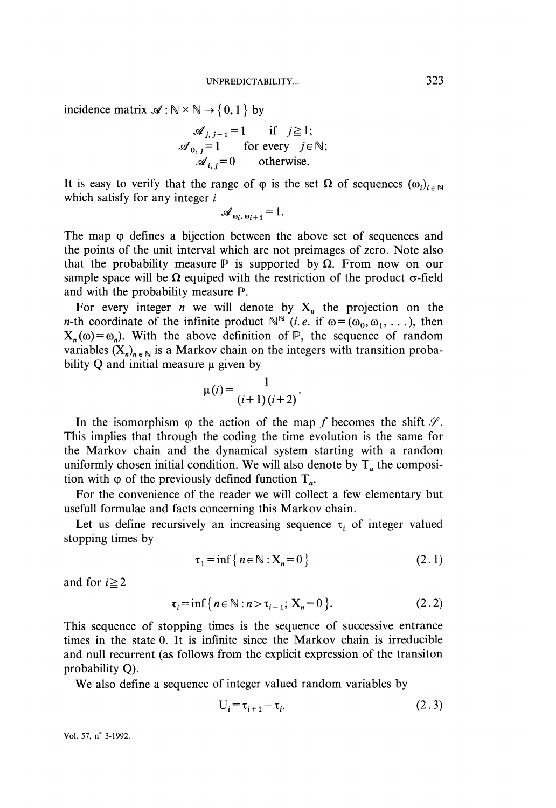incidence matrix  $\mathscr{A}: \mathbb{N} \times \mathbb{N} \to \{0,1\}$  by

$$
\begin{array}{ll}\n\mathcal{A}_{j,j-1} = 1 & \text{if } j \ge 1; \\
\mathcal{A}_{0,j} = 1 & \text{for every } j \in \mathbb{N}; \\
\mathcal{A}_{i,j} = 0 & \text{otherwise}.\n\end{array}
$$

It is easy to verify that the range of  $\varphi$  is the set  $\Omega$  of sequences  $(\omega_i)_{i \in \mathbb{N}}$ which satisfy for any integer  $i$ 

$$
\mathscr{A}_{\omega_i,\,\omega_{i+1}}=1.
$$

The map  $\varphi$  defines a bijection between the above set of sequences and the points of the unit interval which are not preimages of zero. Note also that the probability measure  $\mathbb P$  is supported by  $\Omega$ . From now on our sample space will be  $\Omega$  equiped with the restriction of the product  $\sigma$ -field and with the probability measure P.

For every integer *n* we will denote by  $X_n$  the projection on the *n*-th coordinate of the infinite product  $\mathbb{N}^{\mathbb{N}}$  (*i.e.* if  $\omega = (\omega_0, \omega_1, \dots)$ , then  $X_n(\omega) = \omega_n$ ). With the above definition of  $P$ , the sequence of random variables  $(X_n)_{n \in \mathbb{N}}$  is a Markov chain on the integers with transition probability  $Q$  and initial measure  $\mu$  given by

$$
\mu(i) = \frac{1}{(i+1)(i+2)}.
$$

In the isomorphism  $\varphi$  the action of the map f becomes the shift  $\mathscr{S}$ . This implies that through the coding the time evolution is the same for the Markov chain and the dynamical system starting with a random uniformly chosen initial condition. We will also denote by  $T_a$  the composition with  $\varphi$  of the previously defined function  $T_a$ .

For the convenience of the reader we will collect a few elementary but usefull formulae and facts concerning this Markov chain.

Let us define recursively an increasing sequence  $\tau_i$  of integer valued stopping times by

$$
\tau_1 = \inf \{ n \in \mathbb{N} : X_n = 0 \}
$$
 (2.1)

and for  $i \geq 2$ 

$$
\tau_i = \inf \{ n \in \mathbb{N} : n > \tau_{i-1}; \ X_n = 0 \}.
$$
 (2.2)

This sequence of stopping times is the sequence of successive entrance times in the state 0. It is infinite since the Markov chain is irreducible and null recurrent (as follows from the explicit expression of the transiton probability Q).

We also define a sequence of integer valued random variables by

$$
U_i = \tau_{i+1} - \tau_i. \tag{2.3}
$$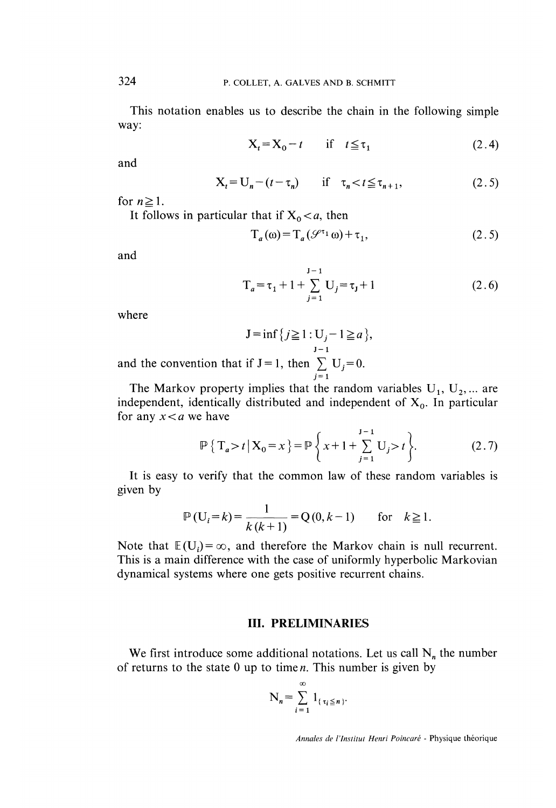This notation enables us to describe the chain in the following simple way:

$$
X_t = X_0 - t \quad \text{if} \quad t \leq \tau_1 \tag{2.4}
$$

and

$$
X_t = U_n - (t - \tau_n) \quad \text{if} \quad \tau_n < t \leq \tau_{n+1}, \tag{2.5}
$$

for  $n \geq 1$ .

It follows in particular that if  $X_0 < a$ , then

$$
T_a(\omega) = T_a(\mathcal{S}^{\tau_1}\omega) + \tau_1,\tag{2.5}
$$

and

$$
T_a = \tau_1 + 1 + \sum_{j=1}^{J-1} U_j = \tau_j + 1
$$
 (2.6)

where

$$
J = \inf \{ j \ge 1 : U_j - 1 \ge a \},
$$
  

$$
J = 1
$$
  
if  $I = 1$  then  $\sum I J = 0$ 

and the convention that if  $J=1$ , then  $\sum$  $j=1$ 

The Markov property implies that the random variables  $U_1, U_2, ...$  are independent, identically distributed and independent of  $X_0$ . In particular for any  $x < a$  we have

$$
\mathbb{P}\left\{\left|\mathbf{T}_{a} > t\right| \mathbf{X}_{0} = x\right\} = \mathbb{P}\left\{x + 1 + \sum_{j=1}^{J-1} \mathbf{U}_{j} > t\right\}.
$$
 (2.7)

It is easy to verify that the common law of these random variables is given by

$$
\mathbb{P}(U_i = k) = \frac{1}{k(k+1)} = Q(0, k-1) \quad \text{for} \quad k \ge 1.
$$

Note that  $E(U_i) = \infty$ , and therefore the Markov chain is null recurrent. This is a main difference with the case of uniformly hyperbolic Markovian dynamical systems where one gets positive recurrent chains.

#### III. PRELIMINARIES

We first introduce some additional notations. Let us call  $N_n$  the number of returns to the state  $0$  up to time  $n$ . This number is given by

$$
N_n = \sum_{i=1}^{\infty} 1_{\{\tau_i \leq n\}}.
$$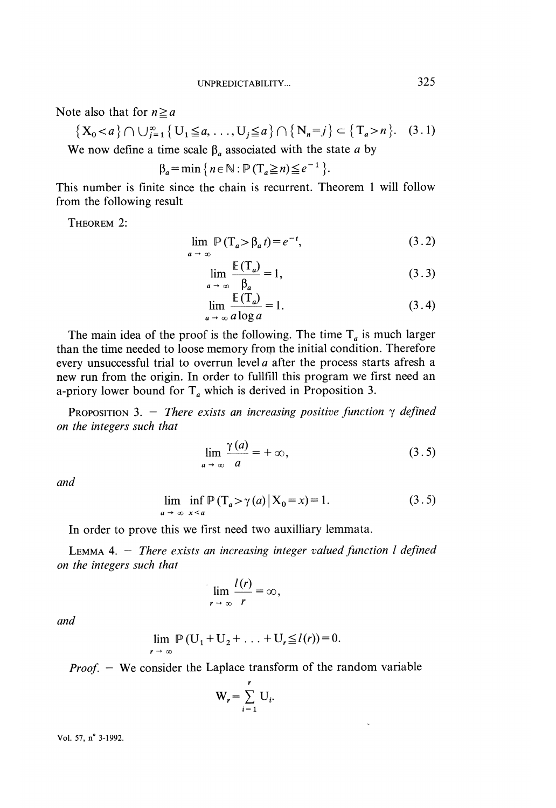Note also that for  $n \ge a$ 

 $\{X_0 < a\} \cap \bigcup_{j=1}^{\infty} \{U_1 \leq a, \ldots, U_j \leq a\} \cap \{N_n = j\} \subset \{T_a > n\}.$  (3.1) We now define a time scale  $\beta_a$  associated with the state a by

$$
\beta_a = \min \left\{ n \in \mathbb{N} : \mathbb{P} \left( T_a \geq n \right) \leq e^{-1} \right\}
$$

This number is finite since the chain is recurrent. Theorem 1 will follow from the following result

THEOREM 2:

$$
\lim_{a \to \infty} \mathbb{P}\left(\mathbb{T}_a > \beta_a t\right) = e^{-t},\tag{3.2}
$$

$$
\lim_{a \to \infty} \frac{\mathbb{E}(T_a)}{\beta_a} = 1,\tag{3.3}
$$

$$
\lim_{a \to \infty} \frac{\mathbb{E}(T_a)}{a \log a} = 1. \tag{3.4}
$$

The main idea of the proof is the following. The time  $T_a$  is much larger than the time needed to loose memory from the initial condition. Therefore every unsuccessful trial to overrun level a after the process starts afresh a new run from the origin. In order to fullfill this program we first need an a-priory lower bound for  $T_a$  which is derived in Proposition 3.

PROPOSITION 3. - There exists an increasing positive function  $\gamma$  defined on the integers such that

$$
\lim_{a \to \infty} \frac{\gamma(a)}{a} = +\infty, \tag{3.5}
$$

and

$$
\lim_{n \to \infty} \inf_{x < a} \mathbb{P}\left(\mathbb{T}_a > \gamma(a) \, \middle| \, \mathbf{X}_0 = x\right) = 1. \tag{3.5}
$$

In order to prove this we first need two auxilliary lemmata.

LEMMA 4.  $-$  There exists an increasing integer valued function  $l$  defined on the integers such that

$$
\lim_{r \to \infty} \frac{l(r)}{r} = \infty,
$$

and

$$
\lim_{r \to \infty} \mathbb{P}(U_1 + U_2 + \ldots + U_r \leq l(r)) = 0.
$$

 $Proof. -$  We consider the Laplace transform of the random variable

$$
\mathbf{W}_r = \sum_{i=1}^r \mathbf{U}_i.
$$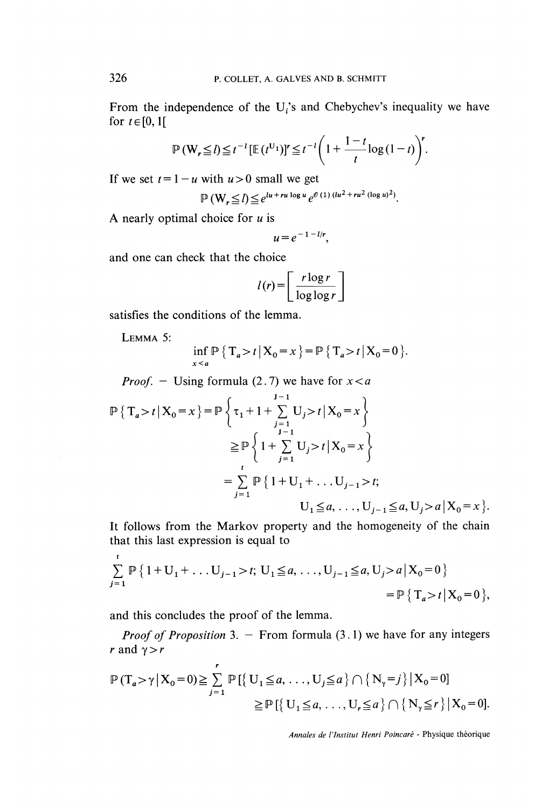From the independence of the  $U_i$ 's and Chebychev's inequality we have for  $t \in [0,1]$ 

$$
\mathbb{P}\left(\mathbf{W}_{r}\leq l\right)\leq t^{-l}\left[\mathbb{E}\left(t^{U_{1}}\right)\right]^{r}\leq t^{-l}\left(1+\frac{1-t}{t}\log\left(1-t\right)\right)^{r}.
$$

If we set  $t = 1 - u$  with  $u > 0$  small we get

$$
\mathbb{P}\left(\mathbf{W}_{r} \leq l\right) \leq e^{lu + ru \log u} e^{\theta (1) (lu^{2} + ru^{2} (\log u)^{2})}.
$$

A nearly optimal choice for  $u$  is

$$
u=e^{-1-l/r},
$$

and one can check that the choice

$$
l(r) = \left[ \frac{r \log r}{\log \log r} \right]
$$

satisfies the conditions of the lemma.

LEMMA<sub>5</sub>:

$$
\inf_{x < a} \mathbb{P}\left\{ T_a > t \, \big| \, X_0 = x \, \right\} = \mathbb{P}\left\{ T_a > t \, \big| \, X_0 = 0 \, \right\}.
$$

*Proof.* - Using formula (2.7) we have for  $x < a$ 

$$
\mathbb{P}\left\{T_a > t \, \big| \, X_0 = x\right\} = \mathbb{P}\left\{\tau_1 + 1 + \sum_{\substack{j=1 \ j-1}}^{j-1} U_j > t \, \big| \, X_0 = x\right\}
$$
\n
$$
\geq \mathbb{P}\left\{1 + \sum_{\substack{j=1 \ j-1}}^{j-1} U_j > t \, \big| \, X_0 = x\right\}
$$
\n
$$
= \sum_{j=1}^{t} \mathbb{P}\left\{1 + U_1 + \dots + U_{j-1} > t; \right\}
$$
\n
$$
U_1 \leq a, \dots, U_{j-1} \leq a, U_j > a \, \big| \, X_0 = x\right\}.
$$

It follows from the Markov property and the homogeneity of the chain that this last expression is equal to

$$
\sum_{j=1}^{t} \mathbb{P}\left\{1+U_1+\dots U_{j-1} > t; \ U_1 \leq a, \dots, U_{j-1} \leq a, U_j > a \, \middle| \, X_0 = 0 \right\}
$$
\n
$$
= \mathbb{P}\left\{T_a > t \, \middle| \, X_0 = 0 \right\},
$$

and this concludes the proof of the lemma.

*Proof of Proposition* 3. - From formula  $(3.1)$  we have for any integers r and  $\gamma > r$ 

$$
\mathbb{P}(T_a > \gamma | X_0 = 0) \geq \sum_{j=1}^r \mathbb{P}\left[ \left\{ U_1 \leq a, \ldots, U_j \leq a \right\} \cap \left\{ N_\gamma = j \right\} | X_0 = 0 \right]
$$
  

$$
\geq \mathbb{P}\left[ \left\{ U_1 \leq a, \ldots, U_r \leq a \right\} \cap \left\{ N_\gamma \leq r \right\} | X_0 = 0 \right].
$$

Annales de l'Institut Henri Poincaré - Physique théorique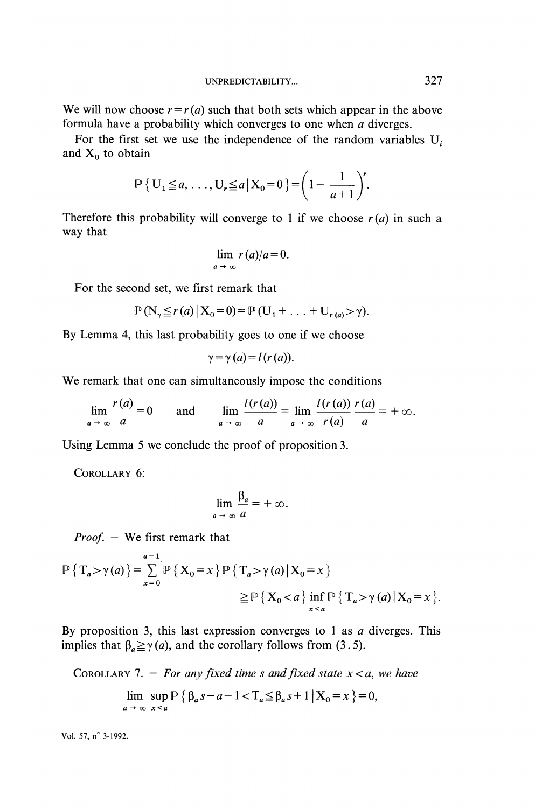We will now choose  $r = r(a)$  such that both sets which appear in the above formula have a probability which converges to one when  $a$  diverges.

For the first set we use the independence of the random variables  $U_i$ and  $X_0$  to obtain

$$
\mathbb{P}\left\{\left.\mathrm{U}_{1}\!\leq\!a,\,\ldots,\mathrm{U}_{r}\!\leq\!a\,\middle|\,\mathrm{X}_{0}\!=\!0\,\right\}=\left(1-\frac{1}{a+1}\right)^{r}.
$$

Therefore this probability will converge to 1 if we choose  $r(a)$  in such a way that

$$
\lim_{a \to \infty} r(a)/a = 0.
$$

For the second set, we first remark that

$$
\mathbb{P}\left(\mathbf{N}_{\gamma}\leq r\left(a\right)\big|\mathbf{X}_{0}=0\right)=\mathbb{P}\left(\mathbf{U}_{1}+\ldots+\mathbf{U}_{r\left(a\right)}>\gamma\right).
$$

By Lemma 4, this last probability goes to one if we choose

$$
\gamma = \gamma(a) = l(r(a)).
$$

We remark that one can simultaneously impose the conditions

 $\lim_{a \to \infty} \frac{r(a)}{a} = 0$  and  $\lim_{a \to \infty} \frac{l(r(a))}{a} = \lim_{a \to \infty} \frac{l(r(a))}{r(a)} \frac{r(a)}{a} = +\infty.$ 

Using Lemma 5 we conclude the proof of proposition 3.

COROLLARY 6:

$$
\lim_{a \to \infty} \frac{\beta_a}{a} = +\infty.
$$

*Proof.*  $-$  We first remark that

$$
\mathbb{P}\left\{\,T_a > \gamma(a)\,\right\} = \sum_{x=0}^{a-1} \mathbb{P}\left\{\,X_0 = x\,\right\} \mathbb{P}\left\{\,T_a > \gamma(a) \,\middle|\, X_0 = x\,\right\} \\
\geq \mathbb{P}\left\{\,X_0 < a\,\right\} \inf_{x < a} \mathbb{P}\left\{\,T_a > \gamma(a) \,\middle|\, X_0 = x\,\right\}.
$$

By proposition 3, this last expression converges to 1 as  $a$  diverges. This implies that  $\beta_a \ge \gamma(a)$ , and the corollary follows from (3.5).

COROLLARY 7. – For any fixed time *s* and fixed state 
$$
x < a
$$
, we have  
\n
$$
\lim_{a \to \infty} \sup_{x < a} \mathbb{P} \{ \beta_a s - a - 1 < T_a \leq \beta_a s + 1 \mid X_0 = x \} = 0,
$$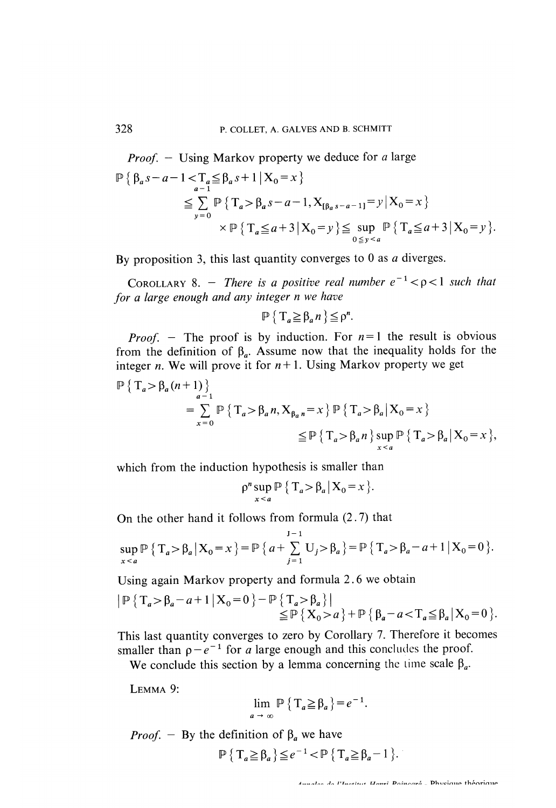*Proof.*  $-$  Using Markov property we deduce for a large  $\mathbb{P}\left\{\beta_a s-a-1\right\} \leq \sum_{a=1}^n \leq \beta_a s+1 \mid X_0 = x\right\}$  $\leq \sum_{y=0}^{a} \mathbb{P} \{ T_a > \beta_a s - a - 1, X_{[\beta_a s - a - 1]} = y | X_0 = x \}$ <br>  $\times \mathbb{P} \{ T_a \leq a + 3 | X_0 = y \} \leq \sup_{0 \leq y \leq a} \mathbb{P} \{ T_a \leq a + 3 | X_0 = y \}.$ 

By proposition 3, this last quantity converges to  $0$  as  $a$  diverges.

COROLLARY 8. - There is a positive real number  $e^{-1} < \rho < 1$  such that for a large enough and any integer n we have

$$
\mathbb{P}\left\{\left.\mathrm{T}_a \geq \beta_a n\right.\right\} \leq \rho^n.
$$

 $P_{\text{mod}}$  - The proof is by induction. For  $n = 1$  the result is obvious  $f(1) = 1$  in the definition of  $\theta$  assume now that the inequality holds for the from the definition of  $\beta_a$ . Assume now that the inequality holds for the integer *n*. We will prove it for  $n+1$ . Using Markov property we get

$$
\mathbb{P}\left\{\left.\mathbf{T}_{a} > \beta_{a}(n+1)\right\}\right\}
$$
\n
$$
= \sum_{x=0}^{a-1} \mathbb{P}\left\{\left.\mathbf{T}_{a} > \beta_{a}n, \mathbf{X}_{\beta_{a}n} = x\right\} \mathbb{P}\left\{\left.\mathbf{T}_{a} > \beta_{a}\right| \mathbf{X}_{0} = x\right\}
$$
\n
$$
\leq \mathbb{P}\left\{\left.\mathbf{T}_{a} > \beta_{a}n\right\} \sup_{x \leq a} \mathbb{P}\left\{\left.\mathbf{T}_{a} > \beta_{a}\right| \mathbf{X}_{0} = x\right\},
$$

which from the induction hypothesis is smaller than

$$
\rho^n \sup_{x < a} \mathbb{P} \left\{ T_a > \beta_a \, \middle| \, X_0 = x \right\}.
$$

On the other hand it follows from formula (2. 7) that

$$
\sup_{x < a} \mathbb{P} \{ T_a > \beta_a \, \big| \, X_0 = x \, \} = \mathbb{P} \{ a + \sum_{j=1}^{J-1} U_j > \beta_a \} = \mathbb{P} \{ T_a > \beta_a - a + 1 \, \big| \, X_0 = 0 \, \}.
$$

Using again Markov property and formula 2. 6 we obtain

$$
\begin{aligned} \left| \mathbb{P}\left\{ T_a > \beta_a - a + 1 \, \middle| \, X_0 = 0 \right\} - \mathbb{P}\left\{ T_a > \beta_a \right\} \right| \\ &\leq \mathbb{P}\left\{ X_0 > a \right\} + \mathbb{P}\left\{ \beta_a - a < T_a \leq \beta_a \, \middle| \, X_0 = 0 \right\} . \end{aligned}
$$

This last quantity converges to zero by Corollary 7. Therefore it becomes  $\frac{1}{10}$  smaller than  $\frac{1}{10}$  for a large enough and this concludes the proof. aller than  $p - e$  = for *a* large enough and this concludes the proof.

LEMMA 9:

$$
\lim_{a \to \infty} \mathbb{P}\left\{T_a \geq \beta_a\right\} = e^{-1}
$$

*Proof.* - By the definition of  $\beta_a$  we have

$$
\mathbb{P}\left\{\left.\mathrm{T}_a \geq \beta_a\right\} \leq e^{-1} < \mathbb{P}\left\{\left.\mathrm{T}_a \geq \beta_a - 1\right.\right\}.
$$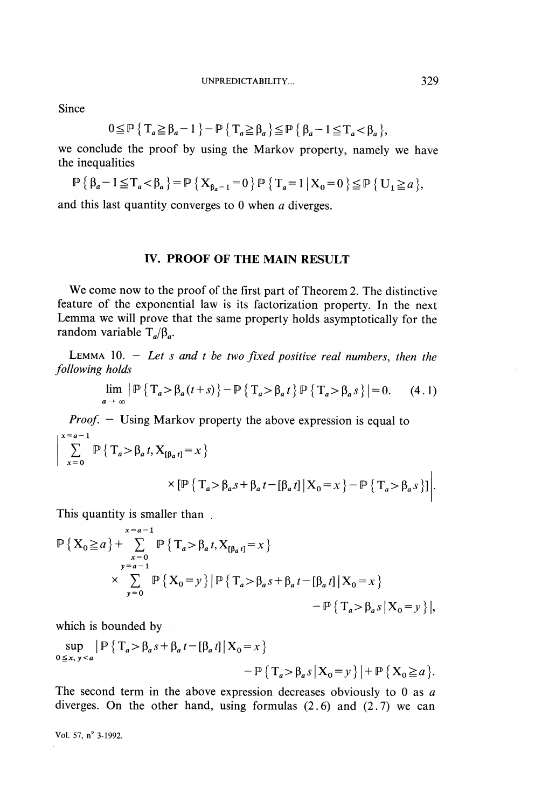**Since** 

$$
0 \leq \mathbb{P} \left\{ T_a \geq \beta_a - 1 \right\} - \mathbb{P} \left\{ T_a \geq \beta_a \right\} \leq \mathbb{P} \left\{ \beta_a - 1 \leq T_a < \beta_a \right\},\
$$

we conclude the proof by using the Markov property, namely we have the inequalities

$$
\mathbb{P}\left\{\beta_a-1\leq T_a<\beta_a\right\}=\mathbb{P}\left\{X_{\beta_a-1}=0\right\}\mathbb{P}\left\{T_a=1\,\big|\,X_0=0\right\}\leq \mathbb{P}\left\{\,U_1\geq a\,\right\},\,
$$

and this last quantity converges to 0 when a diverges.

#### IV. PROOF OF THE MAIN RESULT

We come now to the proof of the first part of Theorem 2. The distinctive feature of the exponential law is its factorization property. In the next Lemma we will prove that the same property holds asymptotically for the random variable  $T_a/\beta_a$ .

LEMMA 10. - Let s and t be two fixed positive real numbers, then the following holds

$$
\lim_{a \to \infty} \left| \mathbb{P} \left\{ T_a > \beta_a (t+s) \right\} - \mathbb{P} \left\{ T_a > \beta_a t \right\} \mathbb{P} \left\{ T_a > \beta_a s \right\} \right| = 0. \tag{4.1}
$$

*Proof.*  $-$  Using Markov property the above expression is equal to  $\begin{pmatrix} x=a-1 \\ 1 \end{pmatrix}$ 

$$
\left| \sum_{x=0}^{n} \mathbb{P} \{ T_a > \beta_a t, X_{[\beta_a t]} = x \} \right|
$$
  
 
$$
\times \left[ \mathbb{P} \{ T_a > \beta_a s + \beta_a t - [\beta_a t] | X_0 = x \} - \mathbb{P} \{ T_a > \beta_a s \} \right].
$$

This quantity is smaller than

$$
\mathbb{P}\left\{X_{0}\ge a\right\}+\sum_{\substack{x=0\\ y=a-1}}^{x=a-1}\mathbb{P}\left\{T_{a}>\beta_{a}t,X_{[\beta_{a}t]}=x\right\}\times \sum_{y=0}^{x=a-1}\mathbb{P}\left\{X_{0}=y\right\}\left|\mathbb{P}\left\{T_{a}>\beta_{a}s+\beta_{a}t-[ \beta_{a}t]\,|\,X_{0}=x\right\}\right|-\mathbb{P}\left\{T_{a}>\beta_{a}s\,|\,X_{0}=y\right\}\right|,
$$

which is bounded by

$$
\sup_{0 \le x, y < a} \left| \mathbb{P} \left\{ T_a > \beta_a s + \beta_a t - \left[ \beta_a t \right] \middle| X_0 = x \right\} \right|
$$
\n
$$
- \mathbb{P} \left\{ T_a > \beta_a s \middle| X_0 = y \right\} \left| + \mathbb{P} \left\{ X_0 \ge a \right\} \right|.
$$

The second term in the above expression decreases obviously to 0 as  $a$ diverges. On the other hand, using formulas  $(2.6)$  and  $(2.7)$  we can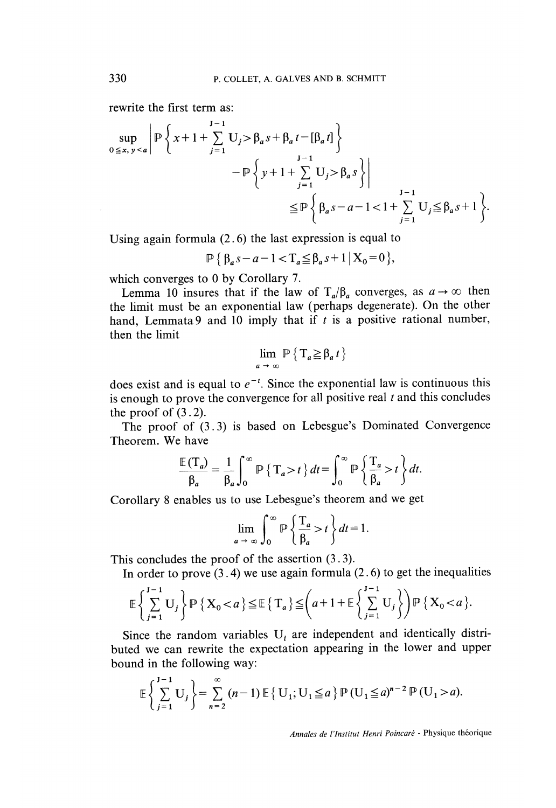rewrite the first term as:

$$
\sup_{0 \le x, y < a} \left| \mathbb{P} \left\{ x + 1 + \sum_{j=1}^{J-1} U_j > \beta_a s + \beta_a t - [\beta_a t] \right\} - \mathbb{P} \left\{ y + 1 + \sum_{j=1}^{J-1} U_j > \beta_a s \right\} \right|
$$
\n
$$
\le \mathbb{P} \left\{ \beta_a s - a - 1 < 1 + \sum_{j=1}^{J-1} U_j \le \beta_a s + 1 \right\}.
$$

Using again formula (2. 6) the last expression is equal to

$$
\mathbb{P}\left\{\beta_a s - a - 1 < T_a \leq \beta_a s + 1 \mid X_0 = 0\right\},\
$$

which converges to 0 by Corollary 7.

Lemma 10 insures that if the law of  $T_a/\beta_a$  converges, as  $a \to \infty$  then the limit must be an exponential law (perhaps degenerate). On the other hand, Lemmata 9 and 10 imply that if  $t$  is a positive rational number, then the limit

$$
\lim_{a \to \infty} \mathbb{P} \left\{ T_a \geq \beta_a \, t \right\}
$$

does exist and is equal to  $e^{-t}$ . Since the exponential law is continuous this is enough to prove the convergence for all positive real  $t$  and this concludes the proof of  $(3.2)$ .

The proof of (3.3) is based on Lebesgue's Dominated Convergence Theorem. We have

$$
\frac{\mathbb{E}(T_a)}{\beta_a} = \frac{1}{\beta_a} \int_0^\infty \mathbb{P}\left\{T_a > t\right\} dt = \int_0^\infty \mathbb{P}\left\{\frac{T_a}{\beta_a} > t\right\} dt.
$$

Corollary 8 enables us to use Lebesgue's theorem and we get

$$
\lim_{a \to \infty} \int_0^\infty \mathbb{P}\left\{\frac{T_a}{\beta_a} > t\right\} dt = 1.
$$

This concludes the proof of the assertion (3 . 3).

In order to prove  $(3.4)$  we use again formula  $(2.6)$  to get the inequalities

$$
\mathbb{E}\left\{\sum_{j=1}^{J-1}U_j\right\}\mathbb{P}\left\{\left.X_0 < a\right\}\leq \mathbb{E}\left\{\left.T_a\right\}\leq \left(a+1+\mathbb{E}\left\{\sum_{j=1}^{J-1}U_j\right\}\right)\mathbb{P}\left\{\left.X_0 < a\right\}\right\}.
$$

Since the random variables  $U_i$  are independent and identically distributed we can rewrite the expectation appearing in the lower and upper bound in the following way:

$$
\mathbb{E}\left\{\sum_{j=1}^{J-1} U_j\right\} = \sum_{n=2}^{\infty} (n-1) \mathbb{E}\left\{U_1; U_1 \leq a\right\} \mathbb{P}\left(U_1 \leq a\right)^{n-2} \mathbb{P}\left(U_1 > a\right).
$$

Annales de l'Institut Henri Poincaré - Physique théorique